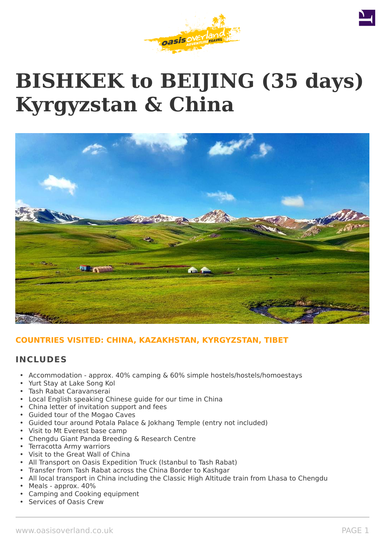





# **COUNTRIES VISITED: CHINA, KAZAKHSTAN, KYRGYZSTAN, TIBET**

## **INCLUDES**

- Accommodation approx. 40% camping & 60% simple hostels/hostels/homoestays
- Yurt Stay at Lake Song Kol
- Tash Rabat Caravanserai
- Local English speaking Chinese guide for our time in China
- China letter of invitation support and fees
- Guided tour of the Mogao Caves
- Guided tour around Potala Palace & Jokhang Temple (entry not included)
- Visit to Mt Everest base camp
- Chengdu Giant Panda Breeding & Research Centre
- Terracotta Army warriors
- Visit to the Great Wall of China
- All Transport on Oasis Expedition Truck (Istanbul to Tash Rabat)
- Transfer from Tash Rabat across the China Border to Kashgar
- All local transport in China including the Classic High Altitude train from Lhasa to Chengdu
- Meals approx. 40%
- Camping and Cooking equipment
- Services of Oasis Crew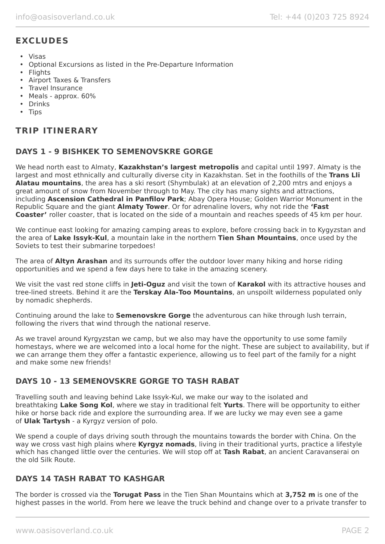# **EXCLUDES**

- Visas
- Optional Excursions as listed in the Pre-Departure Information
- Flights
- Airport Taxes & Transfers
- Travel Insurance
- Meals approx. 60%
- Drinks
- Tips

# **TRIP ITINERARY**

## **DAYS 1 - 9 BISHKEK TO SEMENOVSKRE GORGE**

We head north east to Almaty, **Kazakhstan's largest metropolis** and capital until 1997. Almaty is the largest and most ethnically and culturally diverse city in Kazakhstan. Set in the foothills of the **Trans Lli Alatau mountains**, the area has a ski resort (Shymbulak) at an elevation of 2,200 mtrs and enjoys a great amount of snow from November through to May. The city has many sights and attractions, including **Ascension Cathedral in Panfilov Park**; Abay Opera House; Golden Warrior Monument in the Republic Square and the giant **Almaty Tower**. Or for adrenaline lovers, why not ride the **'Fast Coaster'** roller coaster, that is located on the side of a mountain and reaches speeds of 45 km per hour.

We continue east looking for amazing camping areas to explore, before crossing back in to Kygyzstan and the area of **Lake Issyk-Kul**, a mountain lake in the northern **Tien Shan Mountains**, once used by the Soviets to test their submarine torpedoes!

The area of **Altyn Arashan** and its surrounds offer the outdoor lover many hiking and horse riding opportunities and we spend a few days here to take in the amazing scenery.

We visit the vast red stone cliffs in **Jeti-Oguz** and visit the town of **Karakol** with its attractive houses and tree-lined streets. Behind it are the **Terskay Ala-Too Mountains**, an unspoilt wilderness populated only by nomadic shepherds.

Continuing around the lake to **Semenovskre Gorge** the adventurous can hike through lush terrain, following the rivers that wind through the national reserve.

As we travel around Kyrgyzstan we camp, but we also may have the opportunity to use some family homestays, where we are welcomed into a local home for the night. These are subject to availability, but if we can arrange them they offer a fantastic experience, allowing us to feel part of the family for a night and make some new friends!

# **DAYS 10 - 13 SEMENOVSKRE GORGE TO TASH RABAT**

Travelling south and leaving behind Lake Issyk-Kul, we make our way to the isolated and breathtaking **Lake Song Kol**, where we stay in traditional felt **Yurts**. There will be opportunity to either hike or horse back ride and explore the surrounding area. If we are lucky we may even see a game of **Ulak Tartysh** - a Kyrgyz version of polo.

We spend a couple of days driving south through the mountains towards the border with China. On the way we cross vast high plains where **Kyrgyz nomads**, living in their traditional yurts, practice a lifestyle which has changed little over the centuries. We will stop off at **Tash Rabat**, an ancient Caravanserai on the old Silk Route.

## **DAYS 14 TASH RABAT TO KASHGAR**

The border is crossed via the **Torugat Pass** in the Tien Shan Mountains which at **3,752 m** is one of the highest passes in the world. From here we leave the truck behind and change over to a private transfer to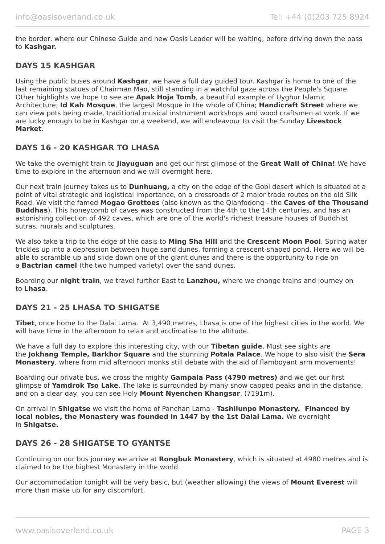the border, where our Chinese Guide and new Oasis Leader will be waiting, before driving down the pass to **Kashgar.**

## **DAYS 15 KASHGAR**

Using the public buses around **Kashgar**, we have a full day guided tour. Kashgar is home to one of the last remaining statues of Chairman Mao, still standing in a watchful gaze across the People's Square. Other highlights we hope to see are **Apak Hoja Tomb**, a beautiful example of Uyghur Islamic Architecture; **Id Kah Mosque**, the largest Mosque in the whole of China; **Handicraft Street** where we can view pots being made, traditional musical instrument workshops and wood craftsmen at work. If we are lucky enough to be in Kashgar on a weekend, we will endeavour to visit the Sunday **Livestock Market**.

## **DAYS 16 - 20 KASHGAR TO LHASA**

We take the overnight train to **Jiayuguan** and get our first glimpse of the **Great Wall of China!** We have time to explore in the afternoon and we will overnight here.

Our next train journey takes us to **Dunhuang,** a city on the edge of the Gobi desert which is situated at a point of vital strategic and logistical importance, on a crossroads of 2 major trade routes on the old Silk Road. We visit the famed **Mogao Grottoes** (also known as the Qianfodong - the **Caves of the Thousand Buddhas**). This honeycomb of caves was constructed from the 4th to the 14th centuries, and has an astonishing collection of 492 caves, which are one of the world's richest treasure houses of Buddhist sutras, murals and sculptures.

We also take a trip to the edge of the oasis to **Ming Sha Hill** and the **Crescent Moon Pool**. Spring water trickles up into a depression between huge sand dunes, forming a crescent-shaped pond. Here we will be able to scramble up and slide down one of the giant dunes and there is the opportunity to ride on a **Bactrian camel** (the two humped variety) over the sand dunes.

Boarding our **night train**, we travel further East to **Lanzhou,** where we change trains and journey on to **Lhasa**.

## **DAYS 21 - 25 LHASA TO SHIGATSE**

**Tibet**, once home to the Dalai Lama. At 3,490 metres, Lhasa is one of the highest cities in the world. We will have time in the afternoon to relax and acclimatise to the altitude.

We have a full day to explore this interesting city, with our **Tibetan guide**. Must see sights are the **Jokhang Temple, Barkhor Square** and the stunning **Potala Palace**. We hope to also visit the **Sera Monastery**, where from mid afternoon monks still debate with the aid of flamboyant arm movements!

Boarding our private bus, we cross the mighty **Gampala Pass (4790 metres)** and we get our first glimpse of **Yamdrok Tso Lake**. The lake is surrounded by many snow capped peaks and in the distance, and on a clear day, you can see Holy **Mount Nyenchen Khangsar**, (7191m).

On arrival in **Shigatse** we visit the home of Panchan Lama - **Tashilunpo Monastery. Financed by local nobles, the Monastery was founded in 1447 by the 1st Dalai Lama.** We overnight in **Shigatse.**

## **DAYS 26 - 28 SHIGATSE TO GYANTSE**

Continuing on our bus journey we arrive at **Rongbuk Monastery**, which is situated at 4980 metres and is claimed to be the highest Monastery in the world.

Our accommodation tonight will be very basic, but (weather allowing) the views of **Mount Everest** will more than make up for any discomfort.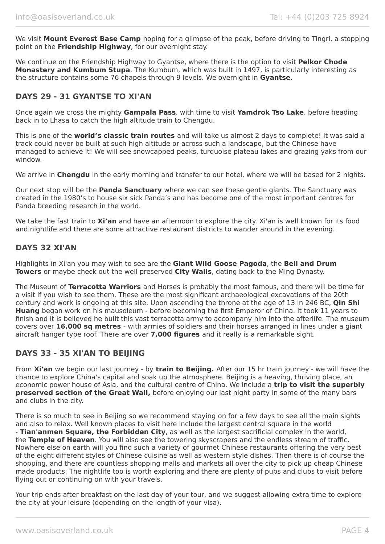We visit **Mount Everest Base Camp** hoping for a glimpse of the peak, before driving to Tingri, a stopping point on the **Friendship Highway**, for our overnight stay.

We continue on the Friendship Highway to Gyantse, where there is the option to visit **Pelkor Chode Monastery and Kumbum Stupa**. The Kumbum, which was built in 1497, is particularly interesting as the structure contains some 76 chapels through 9 levels. We overnight in **Gyantse**.

## **DAYS 29 - 31 GYANTSE TO XI'AN**

Once again we cross the mighty **Gampala Pass**, with time to visit **Yamdrok Tso Lake**, before heading back in to Lhasa to catch the high altitude train to Chengdu.

This is one of the **world's classic train routes** and will take us almost 2 days to complete! It was said a track could never be built at such high altitude or across such a landscape, but the Chinese have managed to achieve it! We will see snowcapped peaks, turquoise plateau lakes and grazing yaks from our window.

We arrive in **Chengdu** in the early morning and transfer to our hotel, where we will be based for 2 nights.

Our next stop will be the **Panda Sanctuary** where we can see these gentle giants. The Sanctuary was created in the 1980's to house six sick Panda's and has become one of the most important centres for Panda breeding research in the world.

We take the fast train to **Xi'an** and have an afternoon to explore the city. Xi'an is well known for its food and nightlife and there are some attractive restaurant districts to wander around in the evening.

## **DAYS 32 XI'AN**

Highlights in Xi'an you may wish to see are the **Giant Wild Goose Pagoda**, the **Bell and Drum Towers** or maybe check out the well preserved **City Walls**, dating back to the Ming Dynasty.

The Museum of **Terracotta Warriors** and Horses is probably the most famous, and there will be time for a visit if you wish to see them. These are the most significant archaeological excavations of the 20th century and work is ongoing at this site. Upon ascending the throne at the age of 13 in 246 BC, **Qin Shi Huang** began work on his mausoleum - before becoming the first Emperor of China. It took 11 years to finish and it is believed he built this vast terracotta army to accompany him into the afterlife. The museum covers over **16,000 sq metres** - with armies of soldiers and their horses arranged in lines under a giant aircraft hanger type roof. There are over **7,000 figures** and it really is a remarkable sight.

## **DAYS 33 - 35 XI'AN TO BEIJING**

From **Xi'an** we begin our last journey - by **train to Beijing.** After our 15 hr train journey - we will have the chance to explore China's capital and soak up the atmosphere. Beijing is a heaving, thriving place, an economic power house of Asia, and the cultural centre of China. We include a **trip to visit the superbly preserved section of the Great Wall,** before enjoying our last night party in some of the many bars and clubs in the city.

There is so much to see in Beijing so we recommend staying on for a few days to see all the main sights and also to relax. Well known places to visit here include the largest central square in the world - **Tian'anmen Square, the Forbidden City**, as well as the largest sacrificial complex in the world, the **Temple of Heaven**. You will also see the towering skyscrapers and the endless stream of traffic. Nowhere else on earth will you find such a variety of gourmet Chinese restaurants offering the very best of the eight different styles of Chinese cuisine as well as western style dishes. Then there is of course the shopping, and there are countless shopping malls and markets all over the city to pick up cheap Chinese made products. The nightlife too is worth exploring and there are plenty of pubs and clubs to visit before flying out or continuing on with your travels.

Your trip ends after breakfast on the last day of your tour, and we suggest allowing extra time to explore the city at your leisure (depending on the length of your visa).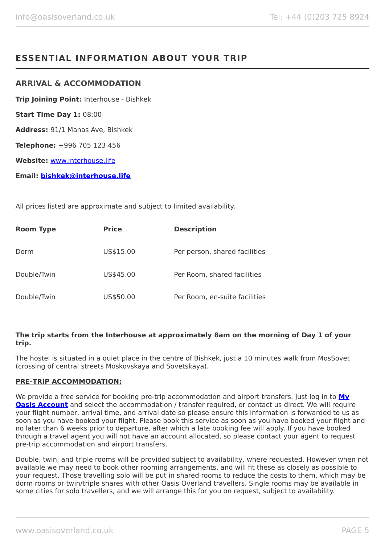# **ESSENTIAL INFORMATION ABOUT YOUR TRIP**

## **ARRIVAL & ACCOMMODATION**

**Trip Joining Point:** Interhouse - Bishkek **Start Time Day 1:** 08:00 **Address:** 91/1 Manas Ave, Bishkek **Telephone:** +996 705 123 456 **Website:** [www.interhouse.life](http://www.interhouse.life/) **Email: [bishkek@interhouse.life](mailto:bishkek@interhouse.life)**

All prices listed are approximate and subject to limited availability.

| <b>Room Type</b> | <b>Price</b> | <b>Description</b>            |
|------------------|--------------|-------------------------------|
| Dorm             | US\$15.00    | Per person, shared facilities |
| Double/Twin      | US\$45.00    | Per Room, shared facilities   |
| Double/Twin      | US\$50.00    | Per Room, en-suite facilities |

#### **The trip starts from the Interhouse at approximately 8am on the morning of Day 1 of your trip.**

The hostel is situated in a quiet place in the centre of Bishkek, just a 10 minutes walk from MosSovet (crossing of central streets Moskovskaya and Sovetskaya).

#### **PRE-TRIP ACCOMMODATION:**

We provide a free service for booking pre-trip accommodation and airport transfers. Just log in to **[My](https://oasisportal.eecsoftware.com/login.php) [Oasis Account](https://oasisportal.eecsoftware.com/login.php)** and select the accommodation / transfer required, or contact us direct. We will require your flight number, arrival time, and arrival date so please ensure this information is forwarded to us as soon as you have booked your flight. Please book this service as soon as you have booked your flight and no later than 6 weeks prior to departure, after which a late booking fee will apply. If you have booked through a travel agent you will not have an account allocated, so please contact your agent to request pre-trip accommodation and airport transfers.

Double, twin, and triple rooms will be provided subject to availability, where requested. However when not available we may need to book other rooming arrangements, and will fit these as closely as possible to your request. Those travelling solo will be put in shared rooms to reduce the costs to them, which may be dorm rooms or twin/triple shares with other Oasis Overland travellers. Single rooms may be available in some cities for solo travellers, and we will arrange this for you on request, subject to availability.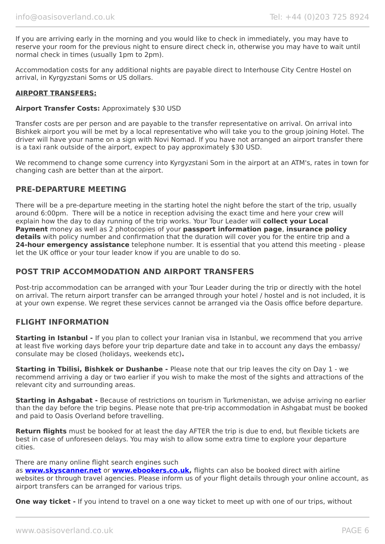If you are arriving early in the morning and you would like to check in immediately, you may have to reserve your room for the previous night to ensure direct check in, otherwise you may have to wait until normal check in times (usually 1pm to 2pm).

Accommodation costs for any additional nights are payable direct to Interhouse City Centre Hostel on arrival, in Kyrgyzstani Soms or US dollars.

### **AIRPORT TRANSFERS:**

#### **Airport Transfer Costs:** Approximately \$30 USD

Transfer costs are per person and are payable to the transfer representative on arrival. On arrival into Bishkek airport you will be met by a local representative who will take you to the group joining Hotel. The driver will have your name on a sign with Novi Nomad. If you have not arranged an airport transfer there is a taxi rank outside of the airport, expect to pay approximately \$30 USD.

We recommend to change some currency into Kyrgyzstani Som in the airport at an ATM's, rates in town for changing cash are better than at the airport.

## **PRE-DEPARTURE MEETING**

There will be a pre-departure meeting in the starting hotel the night before the start of the trip, usually around 6:00pm. There will be a notice in reception advising the exact time and here your crew will explain how the day to day running of the trip works. Your Tour Leader will **collect your Local Payment** money as well as 2 photocopies of your **passport information page**, **insurance policy details** with policy number and confirmation that the duration will cover you for the entire trip and a **24-hour emergency assistance** telephone number. It is essential that you attend this meeting - please let the UK office or your tour leader know if you are unable to do so.

## **POST TRIP ACCOMMODATION AND AIRPORT TRANSFERS**

Post-trip accommodation can be arranged with your Tour Leader during the trip or directly with the hotel on arrival. The return airport transfer can be arranged through your hotel / hostel and is not included, it is at your own expense. We regret these services cannot be arranged via the Oasis office before departure.

## **FLIGHT INFORMATION**

**Starting in Istanbul -** If you plan to collect your Iranian visa in Istanbul, we recommend that you arrive at least five working days before your trip departure date and take in to account any days the embassy/ consulate may be closed (holidays, weekends etc)**.**

**Starting in Tbilisi, Bishkek or Dushanbe -** Please note that our trip leaves the city on Day 1 - we recommend arriving a day or two earlier if you wish to make the most of the sights and attractions of the relevant city and surrounding areas.

**Starting in Ashgabat -** Because of restrictions on tourism in Turkmenistan, we advise arriving no earlier than the day before the trip begins. Please note that pre-trip accommodation in Ashgabat must be booked and paid to Oasis Overland before travelling.

**Return flights** must be booked for at least the day AFTER the trip is due to end, but flexible tickets are best in case of unforeseen delays. You may wish to allow some extra time to explore your departure cities.

#### There are many online flight search engines such

as **[www.skyscanner.net](http://www.dpbolvw.net/click-5720161-10639348)** or **[www.ebookers.co.uk,](http://www.ebookers.co.uk/)** flights can also be booked direct with airline websites or through travel agencies. Please inform us of your flight details through your online account, as airport transfers can be arranged for various trips.

**One way ticket** - If you intend to travel on a one way ticket to meet up with one of our trips, without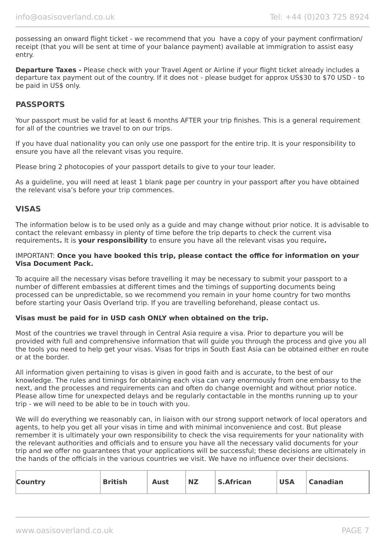possessing an onward flight ticket - we recommend that you have a copy of your payment confirmation/ receipt (that you will be sent at time of your balance payment) available at immigration to assist easy entry.

**Departure Taxes -** Please check with your Travel Agent or Airline if your flight ticket already includes a departure tax payment out of the country. If it does not - please budget for approx US\$30 to \$70 USD - to be paid in US\$ only.

## **PASSPORTS**

Your passport must be valid for at least 6 months AFTER your trip finishes. This is a general requirement for all of the countries we travel to on our trips.

If you have dual nationality you can only use one passport for the entire trip. It is your responsibility to ensure you have all the relevant visas you require.

Please bring 2 photocopies of your passport details to give to your tour leader.

As a guideline, you will need at least 1 blank page per country in your passport after you have obtained the relevant visa's before your trip commences.

## **VISAS**

The information below is to be used only as a guide and may change without prior notice. It is advisable to contact the relevant embassy in plenty of time before the trip departs to check the current visa requirements**.** It is **your responsibility** to ensure you have all the relevant visas you require**.**

#### IMPORTANT: **Once you have booked this trip, please contact the office for information on your Visa Document Pack.**

To acquire all the necessary visas before travelling it may be necessary to submit your passport to a number of different embassies at different times and the timings of supporting documents being processed can be unpredictable, so we recommend you remain in your home country for two months before starting your Oasis Overland trip. If you are travelling beforehand, please contact us.

#### **Visas must be paid for in USD cash ONLY when obtained on the trip.**

Most of the countries we travel through in Central Asia require a visa. Prior to departure you will be provided with full and comprehensive information that will guide you through the process and give you all the tools you need to help get your visas. Visas for trips in South East Asia can be obtained either en route or at the border.

All information given pertaining to visas is given in good faith and is accurate, to the best of our knowledge. The rules and timings for obtaining each visa can vary enormously from one embassy to the next, and the processes and requirements can and often do change overnight and without prior notice. Please allow time for unexpected delays and be regularly contactable in the months running up to your trip - we will need to be able to be in touch with you.

We will do everything we reasonably can, in liaison with our strong support network of local operators and agents, to help you get all your visas in time and with minimal inconvenience and cost. But please remember it is ultimately your own responsibility to check the visa requirements for your nationality with the relevant authorities and officials and to ensure you have all the necessary valid documents for your trip and we offer no guarantees that your applications will be successful; these decisions are ultimately in the hands of the officials in the various countries we visit. We have no influence over their decisions.

| <b>Country</b> | <b>British</b> | Aust | <b>NZ</b> | <b>S.African</b> | <b>USA</b> | <sup>1</sup> Canadian |
|----------------|----------------|------|-----------|------------------|------------|-----------------------|
|                |                |      |           |                  |            |                       |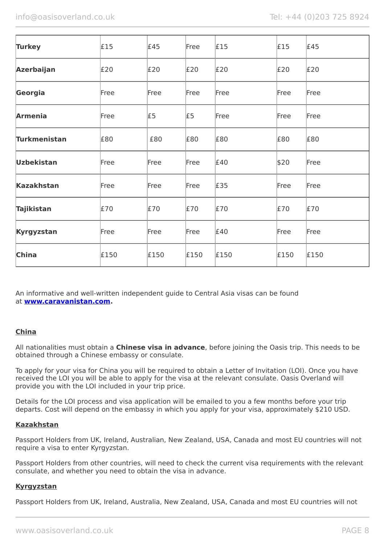| <b>Turkey</b>       | £15  | E45  | Free | £15  | £15  | E45  |
|---------------------|------|------|------|------|------|------|
| <b>Azerbaijan</b>   | £20  | E20  | E20  | £20  | E20  | E20  |
| Georgia             | Free | Free | Free | Free | Free | Free |
| <b>Armenia</b>      | Free | £5   | £5   | Free | Free | Free |
| <b>Turkmenistan</b> | £80  | £80  | £80  | £80  | £80  | £80  |
| <b>Uzbekistan</b>   | Free | Free | Free | £40  | \$20 | Free |
| <b>Kazakhstan</b>   | Free | Free | Free | £35  | Free | Free |
| <b>Tajikistan</b>   | £70  | £70  | £70  | £70  | £70  | £70  |
| Kyrgyzstan          | Free | Free | Free | £40  | Free | Free |
| <b>China</b>        | £150 | £150 | £150 | £150 | £150 | £150 |

An informative and well-written independent guide to Central Asia visas can be found at **[www.caravanistan.com.](http://www.caravanistan.com/)**

## **China**

All nationalities must obtain a **Chinese visa in advance**, before joining the Oasis trip. This needs to be obtained through a Chinese embassy or consulate.

To apply for your visa for China you will be required to obtain a Letter of Invitation (LOI). Once you have received the LOI you will be able to apply for the visa at the relevant consulate. Oasis Overland will provide you with the LOI included in your trip price.

Details for the LOI process and visa application will be emailed to you a few months before your trip departs. Cost will depend on the embassy in which you apply for your visa, approximately \$210 USD.

#### **Kazakhstan**

Passport Holders from UK, Ireland, Australian, New Zealand, USA, Canada and most EU countries will not require a visa to enter Kyrgyzstan.

Passport Holders from other countries, will need to check the current visa requirements with the relevant consulate, and whether you need to obtain the visa in advance.

## **Kyrgyzstan**

Passport Holders from UK, Ireland, Australia, New Zealand, USA, Canada and most EU countries will not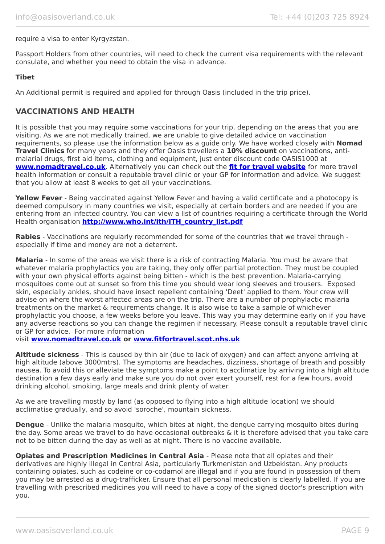#### require a visa to enter Kyrgyzstan.

Passport Holders from other countries, will need to check the current visa requirements with the relevant consulate, and whether you need to obtain the visa in advance.

### **Tibet**

An Additional permit is required and applied for through Oasis (included in the trip price).

## **VACCINATIONS AND HEALTH**

It is possible that you may require some vaccinations for your trip, depending on the areas that you are visiting. As we are not medically trained, we are unable to give detailed advice on vaccination requirements, so please use the information below as a guide only. We have worked closely with **Nomad Travel Clinics** for many years and they offer Oasis travellers a **10% discount** on vaccinations, antimalarial drugs, first aid items, clothing and equipment, just enter discount code OASIS1000 at **[www.nomadtravel.co.uk](http://www.nomadtravel.co.uk/)**. Alternatively you can check out the **[fit for travel website](http://www.fitfortravel.scot.nhs.uk/home.aspx)** for more travel health information or consult a reputable travel clinic or your GP for information and advice. We suggest that you allow at least 8 weeks to get all your vaccinations.

**Yellow Fever** - Being vaccinated against Yellow Fever and having a valid certificate and a photocopy is deemed compulsory in many countries we visit, especially at certain borders and are needed if you are entering from an infected country. You can view a list of countries requiring a certificate through the World Health organisation **[http://www.who.int/ith/ITH\\_country\\_list.pdf](http://www.who.int/ith/ITH_country_list.pdf)** 

**Rabies** - Vaccinations are regularly recommended for some of the countries that we travel through especially if time and money are not a deterrent.

**Malaria** - In some of the areas we visit there is a risk of contracting Malaria. You must be aware that whatever malaria prophylactics you are taking, they only offer partial protection. They must be coupled with your own physical efforts against being bitten - which is the best prevention. Malaria-carrying mosquitoes come out at sunset so from this time you should wear long sleeves and trousers. Exposed skin, especially ankles, should have insect repellent containing 'Deet' applied to them. Your crew will advise on where the worst affected areas are on the trip. There are a number of prophylactic malaria treatments on the market & requirements change. It is also wise to take a sample of whichever prophylactic you choose, a few weeks before you leave. This way you may determine early on if you have any adverse reactions so you can change the regimen if necessary. Please consult a reputable travel clinic or GP for advice. For more information

visit **[www.nomadtravel.co.uk](https://www.nomadtravel.co.uk/) or [www.fitfortravel.scot.nhs.uk](http://www.fitfortravel.scot.nhs.uk/)**

**Altitude sickness** - This is caused by thin air (due to lack of oxygen) and can affect anyone arriving at high altitude (above 3000mtrs). The symptoms are headaches, dizziness, shortage of breath and possibly nausea. To avoid this or alleviate the symptoms make a point to acclimatize by arriving into a high altitude destination a few days early and make sure you do not over exert yourself, rest for a few hours, avoid drinking alcohol, smoking, large meals and drink plenty of water.

As we are travelling mostly by land (as opposed to flying into a high altitude location) we should acclimatise gradually, and so avoid 'soroche', mountain sickness.

**Dengue** - Unlike the malaria mosquito, which bites at night, the dengue carrying mosquito bites during the day. Some areas we travel to do have occasional outbreaks & it is therefore advised that you take care not to be bitten during the day as well as at night. There is no vaccine available.

**Opiates and Prescription Medicines in Central Asia** - Please note that all opiates and their derivatives are highly illegal in Central Asia, particularly Turkmenistan and Uzbekistan. Any products containing opiates, such as codeine or co-codamol are illegal and if you are found in possession of them you may be arrested as a drug-trafficker. Ensure that all personal medication is clearly labelled. If you are travelling with prescribed medicines you will need to have a copy of the signed doctor's prescription with you.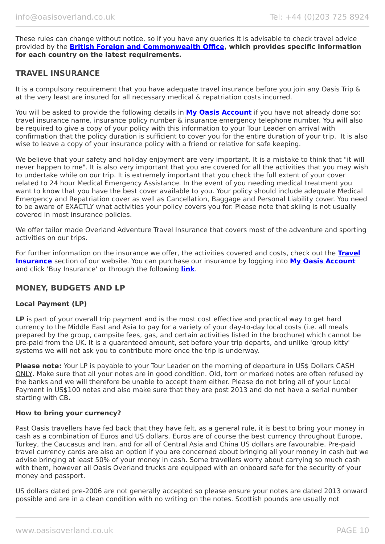These rules can change without notice, so if you have any queries it is advisable to check travel advice provided by the **[British Foreign and Commonwealth Office,](https://www.gov.uk/foreign-travel-advice/uzbekistan/entry-requirements) which provides specific information for each country on the latest requirements.**

## **TRAVEL INSURANCE**

It is a compulsory requirement that you have adequate travel insurance before you join any Oasis Trip & at the very least are insured for all necessary medical & repatriation costs incurred.

You will be asked to provide the following details in **My [Oasis Account](https://oasisportal.eecsoftware.com/)** if you have not already done so: travel insurance name, insurance policy number & insurance emergency telephone number. You will also be required to give a copy of your policy with this information to your Tour Leader on arrival with confirmation that the policy duration is sufficient to cover you for the entire duration of your trip. It is also wise to leave a copy of your insurance policy with a friend or relative for safe keeping.

We believe that your safety and holiday enjoyment are very important. It is a mistake to think that "it will never happen to me". It is also very important that you are covered for all the activities that you may wish to undertake while on our trip. It is extremely important that you check the full extent of your cover related to 24 hour Medical Emergency Assistance. In the event of you needing medical treatment you want to know that you have the best cover available to you. Your policy should include adequate Medical Emergency and Repatriation cover as well as Cancellation, Baggage and Personal Liability cover. You need to be aware of EXACTLY what activities your policy covers you for. Please note that skiing is not usually covered in most insurance policies.

We offer tailor made Overland Adventure Travel Insurance that covers most of the adventure and sporting activities on our trips.

For further information on the insurance we offer, the activities covered and costs, check out the **[Travel](https://www.oasisoverland.co.uk/travel-insurance) [Insurance](https://www.oasisoverland.co.uk/travel-insurance)** section of our website. You can purchase our insurance by logging into **[My Oasis Account](https://oasisportal.eecsoftware.com/)** and click 'Buy Insurance' or through the following **[link](https://www.campbellirvinedirect.com/oasisoverland/)**.

## **MONEY, BUDGETS AND LP**

#### **Local Payment (LP)**

**LP** is part of your overall trip payment and is the most cost effective and practical way to get hard currency to the Middle East and Asia to pay for a variety of your day-to-day local costs (i.e. all meals prepared by the group, campsite fees, gas, and certain activities listed in the brochure) which cannot be pre-paid from the UK. It is a guaranteed amount, set before your trip departs, and unlike 'group kitty' systems we will not ask you to contribute more once the trip is underway.

**Please note:** Your LP is payable to your Tour Leader on the morning of departure in US\$ Dollars CASH ONLY. Make sure that all your notes are in good condition. Old, torn or marked notes are often refused by the banks and we will therefore be unable to accept them either. Please do not bring all of your Local Payment in US\$100 notes and also make sure that they are post 2013 and do not have a serial number starting with CB**.**

#### **How to bring your currency?**

Past Oasis travellers have fed back that they have felt, as a general rule, it is best to bring your money in cash as a combination of Euros and US dollars. Euros are of course the best currency throughout Europe, Turkey, the Caucasus and Iran, and for all of Central Asia and China US dollars are favourable. Pre-paid travel currency cards are also an option if you are concerned about bringing all your money in cash but we advise bringing at least 50% of your money in cash. Some travellers worry about carrying so much cash with them, however all Oasis Overland trucks are equipped with an onboard safe for the security of your money and passport.

US dollars dated pre-2006 are not generally accepted so please ensure your notes are dated 2013 onward possible and are in a clean condition with no writing on the notes. Scottish pounds are usually not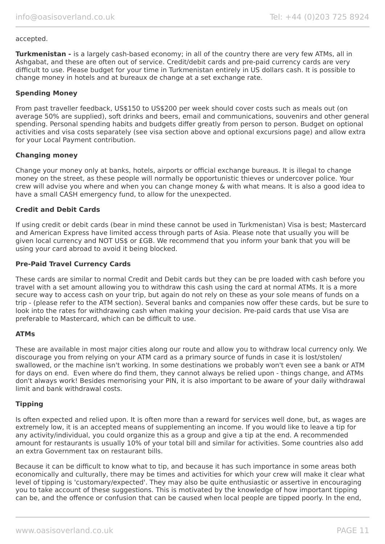#### accepted.

**Turkmenistan -** is a largely cash-based economy; in all of the country there are very few ATMs, all in Ashgabat, and these are often out of service. Credit/debit cards and pre-paid currency cards are very difficult to use. Please budget for your time in Turkmenistan entirely in US dollars cash. It is possible to change money in hotels and at bureaux de change at a set exchange rate.

#### **Spending Money**

From past traveller feedback, US\$150 to US\$200 per week should cover costs such as meals out (on average 50% are supplied), soft drinks and beers, email and communications, souvenirs and other general spending. Personal spending habits and budgets differ greatly from person to person. Budget on optional activities and visa costs separately (see visa section above and optional excursions page) and allow extra for your Local Payment contribution.

#### **Changing money**

Change your money only at banks, hotels, airports or official exchange bureaus. It is illegal to change money on the street, as these people will normally be opportunistic thieves or undercover police. Your crew will advise you where and when you can change money & with what means. It is also a good idea to have a small CASH emergency fund, to allow for the unexpected.

### **Credit and Debit Cards**

If using credit or debit cards (bear in mind these cannot be used in Turkmenistan) Visa is best; Mastercard and American Express have limited access through parts of Asia. Please note that usually you will be given local currency and NOT US\$ or £GB. We recommend that you inform your bank that you will be using your card abroad to avoid it being blocked.

#### **Pre-Paid Travel Currency Cards**

These cards are similar to normal Credit and Debit cards but they can be pre loaded with cash before you travel with a set amount allowing you to withdraw this cash using the card at normal ATMs. It is a more secure way to access cash on your trip, but again do not rely on these as your sole means of funds on a trip - (please refer to the ATM section). Several banks and companies now offer these cards, but be sure to look into the rates for withdrawing cash when making your decision. Pre-paid cards that use Visa are preferable to Mastercard, which can be difficult to use.

#### **ATMs**

These are available in most major cities along our route and allow you to withdraw local currency only. We discourage you from relying on your ATM card as a primary source of funds in case it is lost/stolen/ swallowed, or the machine isn't working. In some destinations we probably won't even see a bank or ATM for days on end. Even where do find them, they cannot always be relied upon - things change, and ATMs don't always work! Besides memorising your PIN, it is also important to be aware of your daily withdrawal limit and bank withdrawal costs.

#### **Tipping**

Is often expected and relied upon. It is often more than a reward for services well done, but, as wages are extremely low, it is an accepted means of supplementing an income. If you would like to leave a tip for any activity/individual, you could organize this as a group and give a tip at the end. A recommended amount for restaurants is usually 10% of your total bill and similar for activities. Some countries also add an extra Government tax on restaurant bills.

Because it can be difficult to know what to tip, and because it has such importance in some areas both economically and culturally, there may be times and activities for which your crew will make it clear what level of tipping is 'customary/expected'. They may also be quite enthusiastic or assertive in encouraging you to take account of these suggestions. This is motivated by the knowledge of how important tipping can be, and the offence or confusion that can be caused when local people are tipped poorly. In the end,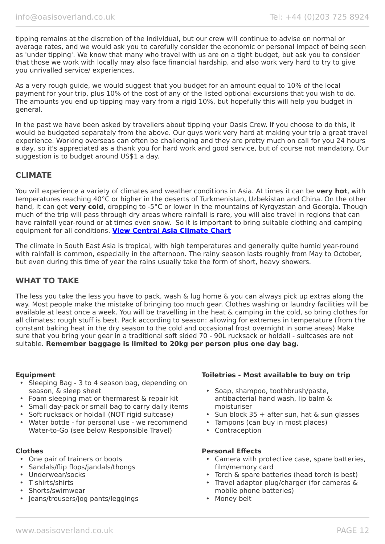tipping remains at the discretion of the individual, but our crew will continue to advise on normal or average rates, and we would ask you to carefully consider the economic or personal impact of being seen as 'under tipping'. We know that many who travel with us are on a tight budget, but ask you to consider that those we work with locally may also face financial hardship, and also work very hard to try to give you unrivalled service/ experiences.

As a very rough guide, we would suggest that you budget for an amount equal to 10% of the local payment for your trip, plus 10% of the cost of any of the listed optional excursions that you wish to do. The amounts you end up tipping may vary from a rigid 10%, but hopefully this will help you budget in general.

In the past we have been asked by travellers about tipping your Oasis Crew. If you choose to do this, it would be budgeted separately from the above. Our guys work very hard at making your trip a great travel experience. Working overseas can often be challenging and they are pretty much on call for you 24 hours a day, so it's appreciated as a thank you for hard work and good service, but of course not mandatory. Our suggestion is to budget around US\$1 a day.

## **CLIMATE**

You will experience a variety of climates and weather conditions in Asia. At times it can be **very hot**, with temperatures reaching 40°C or higher in the deserts of Turkmenistan, Uzbekistan and China. On the other hand, it can get **very cold**, dropping to -5°C or lower in the mountains of Kyrgyzstan and Georgia. Though much of the trip will pass through dry areas where rainfall is rare, you will also travel in regions that can have rainfall year-round or at times even snow. So it is important to bring suitable clothing and camping equipment for all conditions. **[View Central Asia Climate Chart](https://www.oasisoverland.co.uk/central-asia-climate-chart)**

The climate in South East Asia is tropical, with high temperatures and generally quite humid year-round with rainfall is common, especially in the afternoon. The rainy season lasts roughly from May to October, but even during this time of year the rains usually take the form of short, heavy showers.

## **WHAT TO TAKE**

The less you take the less you have to pack, wash & lug home & you can always pick up extras along the way. Most people make the mistake of bringing too much gear. Clothes washing or laundry facilities will be available at least once a week. You will be travelling in the heat & camping in the cold, so bring clothes for all climates; rough stuff is best. Pack according to season: allowing for extremes in temperature (from the constant baking heat in the dry season to the cold and occasional frost overnight in some areas) Make sure that you bring your gear in a traditional soft sided 70 - 90L rucksack or holdall - suitcases are not suitable. **Remember baggage is limited to 20kg per person plus one day bag.**

- Sleeping Bag 3 to 4 season bag, depending on season, & sleep sheet
- Foam sleeping mat or thermarest & repair kit
- Small day-pack or small bag to carry daily items
- Soft rucksack or holdall (NOT rigid suitcase)
- Water bottle for personal use we recommend Water-to-Go (see below Responsible Travel)

- One pair of trainers or boots
- Sandals/flip flops/jandals/thongs
- Underwear/socks
- T shirts/shirts
- Shorts/swimwear
- Jeans/trousers/jog pants/leggings

#### **Equipment Toiletries - Most available to buy on trip**

- Soap, shampoo, toothbrush/paste, antibacterial hand wash, lip balm & moisturiser
- Sun block 35 + after sun, hat & sun glasses
- Tampons (can buy in most places)
- Contraception

#### **Clothes Personal Effects**

- Camera with protective case, spare batteries, film/memory card
- Torch & spare batteries (head torch is best)
- Travel adaptor plug/charger (for cameras & mobile phone batteries)
- Money belt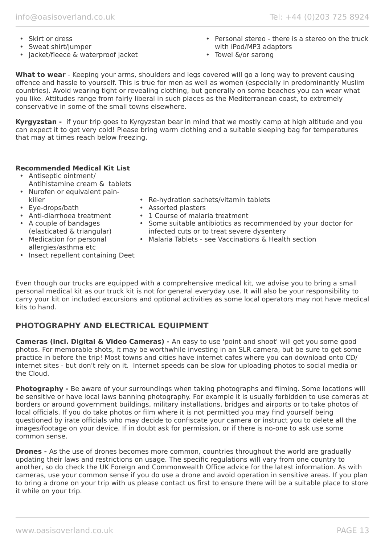- Skirt or dress
- Sweat shirt/jumper
- Jacket/fleece & waterproof jacket
- Personal stereo there is a stereo on the truck with iPod/MP3 adaptors
- Towel &/or sarong

**What to wear** - Keeping your arms, shoulders and legs covered will go a long way to prevent causing offence and hassle to yourself. This is true for men as well as women (especially in predominantly Muslim countries). Avoid wearing tight or revealing clothing, but generally on some beaches you can wear what you like. Attitudes range from fairly liberal in such places as the Mediterranean coast, to extremely conservative in some of the small towns elsewhere.

**Kyrgyzstan -** if your trip goes to Kyrgyzstan bear in mind that we mostly camp at high altitude and you can expect it to get very cold! Please bring warm clothing and a suitable sleeping bag for temperatures that may at times reach below freezing.

## **Recommended Medical Kit List**

- Antiseptic ointment/ Antihistamine cream & tablets
- Nurofen or equivalent painkiller
- Eye-drops/bath
- Anti-diarrhoea treatment
- A couple of bandages (elasticated & triangular)
- Re-hydration sachets/vitamin tablets
- Assorted plasters
- 1 Course of malaria treatment
- Some suitable antibiotics as recommended by your doctor for infected cuts or to treat severe dysentery
	- Malaria Tablets see Vaccinations & Health section
- Medication for personal allergies/asthma etc
- Insect repellent containing Deet

Even though our trucks are equipped with a comprehensive medical kit, we advise you to bring a small personal medical kit as our truck kit is not for general everyday use. It will also be your responsibility to carry your kit on included excursions and optional activities as some local operators may not have medical kits to hand.

# **PHOTOGRAPHY AND ELECTRICAL EQUIPMENT**

**Cameras (incl. Digital & Video Cameras) -** An easy to use 'point and shoot' will get you some good photos. For memorable shots, it may be worthwhile investing in an SLR camera, but be sure to get some practice in before the trip! Most towns and cities have internet cafes where you can download onto CD/ internet sites - but don't rely on it. Internet speeds can be slow for uploading photos to social media or the Cloud.

**Photography -** Be aware of your surroundings when taking photographs and filming. Some locations will be sensitive or have local laws banning photography. For example it is usually forbidden to use cameras at borders or around government buildings, military installations, bridges and airports or to take photos of local officials. If you do take photos or film where it is not permitted you may find yourself being questioned by irate officials who may decide to confiscate your camera or instruct you to delete all the images/footage on your device. If in doubt ask for permission, or if there is no-one to ask use some common sense.

**Drones -** As the use of drones becomes more common, countries throughout the world are gradually updating their laws and restrictions on usage. The specific regulations will vary from one country to another, so do check the UK Foreign and Commonwealth Office advice for the latest information. As with cameras, use your common sense if you do use a drone and avoid operation in sensitive areas. If you plan to bring a drone on your trip with us please contact us first to ensure there will be a suitable place to store it while on your trip.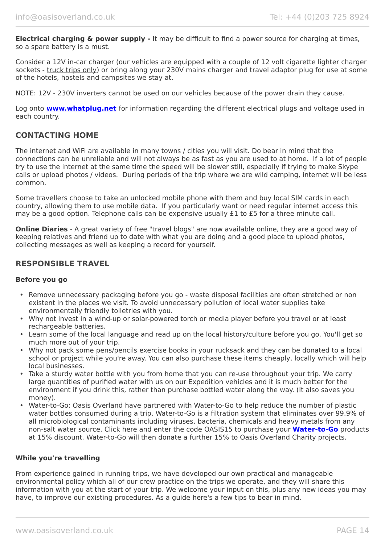**Electrical charging & power supply -** It may be difficult to find a power source for charging at times, so a spare battery is a must.

Consider a 12V in-car charger (our vehicles are equipped with a couple of 12 volt cigarette lighter charger sockets - truck trips only) or bring along your 230V mains charger and travel adaptor plug for use at some of the hotels, hostels and campsites we stay at.

NOTE: 12V - 230V inverters cannot be used on our vehicles because of the power drain they cause.

Log onto **[www.whatplug.net](http://www.whatplug.net/)** for information regarding the different electrical plugs and voltage used in each country.

## **CONTACTING HOME**

The internet and WiFi are available in many towns / cities you will visit. Do bear in mind that the connections can be unreliable and will not always be as fast as you are used to at home. If a lot of people try to use the internet at the same time the speed will be slower still, especially if trying to make Skype calls or upload photos / videos. During periods of the trip where we are wild camping, internet will be less common.

Some travellers choose to take an unlocked mobile phone with them and buy local SIM cards in each country, allowing them to use mobile data. If you particularly want or need regular internet access this may be a good option. Telephone calls can be expensive usually £1 to £5 for a three minute call.

**Online Diaries** - A great variety of free "travel blogs" are now available online, they are a good way of keeping relatives and friend up to date with what you are doing and a good place to upload photos, collecting messages as well as keeping a record for yourself.

## **RESPONSIBLE TRAVEL**

#### **Before you go**

- Remove unnecessary packaging before you go waste disposal facilities are often stretched or non existent in the places we visit. To avoid unnecessary pollution of local water supplies take environmentally friendly toiletries with you.
- Why not invest in a wind-up or solar-powered torch or media player before you travel or at least rechargeable batteries.
- Learn some of the local language and read up on the local history/culture before you go. You'll get so much more out of your trip.
- Why not pack some pens/pencils exercise books in your rucksack and they can be donated to a local school or project while you're away. You can also purchase these items cheaply, locally which will help local businesses.
- Take a sturdy water bottle with you from home that you can re-use throughout your trip. We carry large quantities of purified water with us on our Expedition vehicles and it is much better for the environment if you drink this, rather than purchase bottled water along the way. (It also saves you money).
- Water-to-Go: Oasis Overland have partnered with Water-to-Go to help reduce the number of plastic water bottles consumed during a trip. Water-to-Go is a filtration system that eliminates over 99.9% of all microbiological contaminants including viruses, bacteria, chemicals and heavy metals from any non-salt water source. Click here and enter the code OASIS15 to purchase your **[Water-to-Go](https://watertogo.eu/partnerships/oasisoverland/)** products at 15% discount. Water-to-Go will then donate a further 15% to Oasis Overland Charity projects.

#### **While you're travelling**

From experience gained in running trips, we have developed our own practical and manageable environmental policy which all of our crew practice on the trips we operate, and they will share this information with you at the start of your trip. We welcome your input on this, plus any new ideas you may have, to improve our existing procedures. As a guide here's a few tips to bear in mind.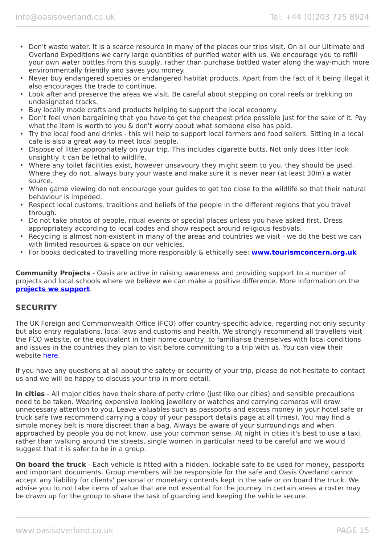- Don't waste water. It is a scarce resource in many of the places our trips visit. On all our Ultimate and Overland Expeditions we carry large quantities of purified water with us. We encourage you to refill your own water bottles from this supply, rather than purchase bottled water along the way-much more environmentally friendly and saves you money.
- Never buy endangered species or endangered habitat products. Apart from the fact of it being illegal it also encourages the trade to continue.
- Look after and preserve the areas we visit. Be careful about stepping on coral reefs or trekking on undesignated tracks.
- Buy locally made crafts and products helping to support the local economy.
- Don't feel when bargaining that you have to get the cheapest price possible just for the sake of it. Pay what the item is worth to you & don't worry about what someone else has paid.
- Try the local food and drinks this will help to support local farmers and food sellers. Sitting in a local cafe is also a great way to meet local people.
- Dispose of litter appropriately on your trip. This includes cigarette butts. Not only does litter look unsightly it can be lethal to wildlife.
- Where any toilet facilities exist, however unsavoury they might seem to you, they should be used. Where they do not, always bury your waste and make sure it is never near (at least 30m) a water source.
- When game viewing do not encourage your guides to get too close to the wildlife so that their natural behaviour is impeded.
- Respect local customs, traditions and beliefs of the people in the different regions that you travel through.
- Do not take photos of people, ritual events or special places unless you have asked first. Dress appropriately according to local codes and show respect around religious festivals.
- Recycling is almost non-existent in many of the areas and countries we visit we do the best we can with limited resources & space on our vehicles.
- For books dedicated to travelling more responsibly & ethically see: **[www.tourismconcern.org.uk](https://www.tourismconcern.org.uk/)**

**Community Projects** - Oasis are active in raising awareness and providing support to a number of projects and local schools where we believe we can make a positive difference. More information on the **[projects we support](https://www.oasisoverland.co.uk/responsible-travel/charities-we-support)**.

## **SECURITY**

The UK Foreign and Commonwealth Office (FCO) offer country-specific advice, regarding not only security but also entry regulations, local laws and customs and health. We strongly recommend all travellers visit the FCO website, or the equivalent in their home country, to familiarise themselves with local conditions and issues in the countries they plan to visit before committing to a trip with us. You can view their website [here.](https://www.gov.uk/foreign-travel-advice)

If you have any questions at all about the safety or security of your trip, please do not hesitate to contact us and we will be happy to discuss your trip in more detail.

**In cities** - All major cities have their share of petty crime (just like our cities) and sensible precautions need to be taken. Wearing expensive looking jewellery or watches and carrying cameras will draw unnecessary attention to you. Leave valuables such as passports and excess money in your hotel safe or truck safe (we recommend carrying a copy of your passport details page at all times). You may find a simple money belt is more discreet than a bag. Always be aware of your surroundings and when approached by people you do not know, use your common sense. At night in cities it's best to use a taxi, rather than walking around the streets, single women in particular need to be careful and we would suggest that it is safer to be in a group.

**On board the truck** - Each vehicle is fitted with a hidden, lockable safe to be used for money, passports and important documents. Group members will be responsible for the safe and Oasis Overland cannot accept any liability for clients' personal or monetary contents kept in the safe or on board the truck. We advise you to not take items of value that are not essential for the journey. In certain areas a roster may be drawn up for the group to share the task of guarding and keeping the vehicle secure.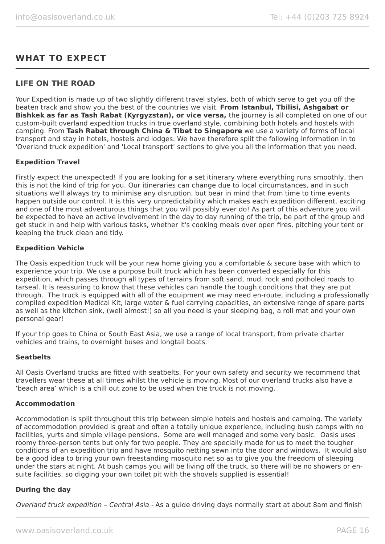# **WHAT TO EXPECT**

## **LIFE ON THE ROAD**

Your Expedition is made up of two slightly different travel styles, both of which serve to get you off the beaten track and show you the best of the countries we visit. **From Istanbul, Tbilisi, Ashgabat or Bishkek as far as Tash Rabat (Kyrgyzstan), or vice versa,** the journey is all completed on one of our custom-built overland expedition trucks in true overland style, combining both hotels and hostels with camping. From **Tash Rabat through China & Tibet to Singapore** we use a variety of forms of local transport and stay in hotels, hostels and lodges. We have therefore split the following information in to 'Overland truck expedition' and 'Local transport' sections to give you all the information that you need.

#### **Expedition Travel**

Firstly expect the unexpected! If you are looking for a set itinerary where everything runs smoothly, then this is not the kind of trip for you. Our itineraries can change due to local circumstances, and in such situations we'll always try to minimise any disruption, but bear in mind that from time to time events happen outside our control. It is this very unpredictability which makes each expedition different, exciting and one of the most adventurous things that you will possibly ever do! As part of this adventure you will be expected to have an active involvement in the day to day running of the trip, be part of the group and get stuck in and help with various tasks, whether it's cooking meals over open fires, pitching your tent or keeping the truck clean and tidy.

#### **Expedition Vehicle**

The Oasis expedition truck will be your new home giving you a comfortable & secure base with which to experience your trip. We use a purpose built truck which has been converted especially for this expedition, which passes through all types of terrains from soft sand, mud, rock and potholed roads to tarseal. It is reassuring to know that these vehicles can handle the tough conditions that they are put through. The truck is equipped with all of the equipment we may need en-route, including a professionally compiled expedition Medical Kit, large water & fuel carrying capacities, an extensive range of spare parts as well as the kitchen sink, (well almost!) so all you need is your sleeping bag, a roll mat and your own personal gear!

If your trip goes to China or South East Asia, we use a range of local transport, from private charter vehicles and trains, to overnight buses and longtail boats.

#### **Seatbelts**

All Oasis Overland trucks are fitted with seatbelts. For your own safety and security we recommend that travellers wear these at all times whilst the vehicle is moving. Most of our overland trucks also have a 'beach area' which is a chill out zone to be used when the truck is not moving.

#### **Accommodation**

Accommodation is split throughout this trip between simple hotels and hostels and camping. The variety of accommodation provided is great and often a totally unique experience, including bush camps with no facilities, yurts and simple village pensions. Some are well managed and some very basic. Oasis uses roomy three-person tents but only for two people. They are specially made for us to meet the tougher conditions of an expedition trip and have mosquito netting sewn into the door and windows. It would also be a good idea to bring your own freestanding mosquito net so as to give you the freedom of sleeping under the stars at night. At bush camps you will be living off the truck, so there will be no showers or ensuite facilities, so digging your own toilet pit with the shovels supplied is essential!

#### **During the day**

Overland truck expedition – Central Asia - As a guide driving days normally start at about 8am and finish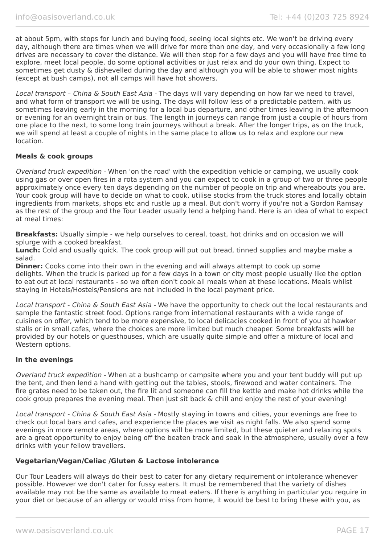at about 5pm, with stops for lunch and buying food, seeing local sights etc. We won't be driving every day, although there are times when we will drive for more than one day, and very occasionally a few long drives are necessary to cover the distance. We will then stop for a few days and you will have free time to explore, meet local people, do some optional activities or just relax and do your own thing. Expect to sometimes get dusty & dishevelled during the day and although you will be able to shower most nights (except at bush camps), not all camps will have hot showers.

Local transport - China & South East Asia - The days will vary depending on how far we need to travel, and what form of transport we will be using. The days will follow less of a predictable pattern, with us sometimes leaving early in the morning for a local bus departure, and other times leaving in the afternoon or evening for an overnight train or bus. The length in journeys can range from just a couple of hours from one place to the next, to some long train journeys without a break. After the longer trips, as on the truck, we will spend at least a couple of nights in the same place to allow us to relax and explore our new location.

#### **Meals & cook groups**

Overland truck expedition - When 'on the road' with the expedition vehicle or camping, we usually cook using gas or over open fires in a rota system and you can expect to cook in a group of two or three people approximately once every ten days depending on the number of people on trip and whereabouts you are. Your cook group will have to decide on what to cook, utilise stocks from the truck stores and locally obtain ingredients from markets, shops etc and rustle up a meal. But don't worry if you're not a Gordon Ramsay as the rest of the group and the Tour Leader usually lend a helping hand. Here is an idea of what to expect at meal times:

**Breakfasts:** Usually simple - we help ourselves to cereal, toast, hot drinks and on occasion we will splurge with a cooked breakfast.

**Lunch:** Cold and usually quick. The cook group will put out bread, tinned supplies and maybe make a salad.

**Dinner:** Cooks come into their own in the evening and will always attempt to cook up some delights. When the truck is parked up for a few days in a town or city most people usually like the option to eat out at local restaurants - so we often don't cook all meals when at these locations. Meals whilst staying in Hotels/Hostels/Pensions are not included in the local payment price.

Local transport - China & South East Asia - We have the opportunity to check out the local restaurants and sample the fantastic street food. Options range from international restaurants with a wide range of cuisines on offer, which tend to be more expensive, to local delicacies cooked in front of you at hawker stalls or in small cafes, where the choices are more limited but much cheaper. Some breakfasts will be provided by our hotels or guesthouses, which are usually quite simple and offer a mixture of local and Western options.

#### **In the evenings**

Overland truck expedition - When at a bushcamp or campsite where you and your tent buddy will put up the tent, and then lend a hand with getting out the tables, stools, firewood and water containers. The fire grates need to be taken out, the fire lit and someone can fill the kettle and make hot drinks while the cook group prepares the evening meal. Then just sit back & chill and enjoy the rest of your evening!

Local transport - China & South East Asia - Mostly staying in towns and cities, your evenings are free to check out local bars and cafes, and experience the places we visit as night falls. We also spend some evenings in more remote areas, where options will be more limited, but these quieter and relaxing spots are a great opportunity to enjoy being off the beaten track and soak in the atmosphere, usually over a few drinks with your fellow travellers.

#### **Vegetarian/Vegan/Celiac /Gluten & Lactose intolerance**

Our Tour Leaders will always do their best to cater for any dietary requirement or intolerance whenever possible. However we don't cater for fussy eaters. It must be remembered that the variety of dishes available may not be the same as available to meat eaters. If there is anything in particular you require in your diet or because of an allergy or would miss from home, it would be best to bring these with you, as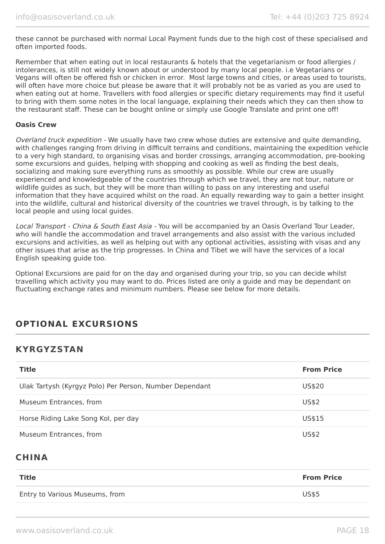these cannot be purchased with normal Local Payment funds due to the high cost of these specialised and often imported foods.

Remember that when eating out in local restaurants & hotels that the vegetarianism or food allergies / intolerances, is still not widely known about or understood by many local people. i.e Vegetarians or Vegans will often be offered fish or chicken in error. Most large towns and cities, or areas used to tourists, will often have more choice but please be aware that it will probably not be as varied as you are used to when eating out at home. Travellers with food allergies or specific dietary requirements may find it useful to bring with them some notes in the local language, explaining their needs which they can then show to the restaurant staff. These can be bought online or simply use Google Translate and print one off!

#### **Oasis Crew**

Overland truck expedition - We usually have two crew whose duties are extensive and quite demanding, with challenges ranging from driving in difficult terrains and conditions, maintaining the expedition vehicle to a very high standard, to organising visas and border crossings, arranging accommodation, pre-booking some excursions and guides, helping with shopping and cooking as well as finding the best deals, socializing and making sure everything runs as smoothly as possible. While our crew are usually experienced and knowledgeable of the countries through which we travel, they are not tour, nature or wildlife guides as such, but they will be more than willing to pass on any interesting and useful information that they have acquired whilst on the road. An equally rewarding way to gain a better insight into the wildlife, cultural and historical diversity of the countries we travel through, is by talking to the local people and using local guides.

Local Transport - China & South East Asia - You will be accompanied by an Oasis Overland Tour Leader, who will handle the accommodation and travel arrangements and also assist with the various included excursions and activities, as well as helping out with any optional activities, assisting with visas and any other issues that arise as the trip progresses. In China and Tibet we will have the services of a local English speaking guide too.

Optional Excursions are paid for on the day and organised during your trip, so you can decide whilst travelling which activity you may want to do. Prices listed are only a guide and may be dependant on fluctuating exchange rates and minimum numbers. Please see below for more details.

# **OPTIONAL EXCURSIONS**

## **KYRGYZSTAN**

| <b>Title</b>                                            | <b>From Price</b> |
|---------------------------------------------------------|-------------------|
| Ulak Tartysh (Kyrgyz Polo) Per Person, Number Dependant | US\$20            |
| Museum Entrances, from                                  | US\$2             |
| Horse Riding Lake Song Kol, per day                     | US\$15            |
| Museum Entrances, from                                  | US\$2             |

# **CHINA**

| <b>Title</b>                   | <b>From Price</b> |
|--------------------------------|-------------------|
| Entry to Various Museums, from | <b>US\$5</b>      |